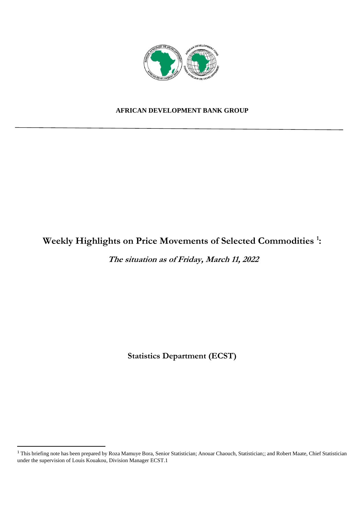

#### **AFRICAN DEVELOPMENT BANK GROUP**

## **Weekly Highlights on Price Movements of Selected Commodities <sup>1</sup> :**

**The situation as of Friday, March 11, 2022** 

**Statistics Department (ECST)** 

<sup>&</sup>lt;sup>1</sup> This briefing note has been prepared by Roza Mamuye Bora, Senior Statistician; Anouar Chaouch, Statistician;; and Robert Maate, Chief Statistician under the supervision of Louis Kouakou, Division Manager ECST.1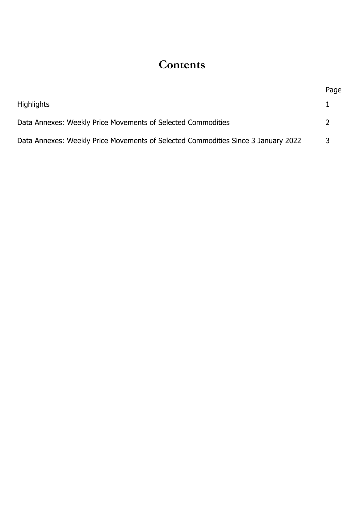# **Contents**

|                                                                                   | Page |
|-----------------------------------------------------------------------------------|------|
| <b>Highlights</b>                                                                 |      |
| Data Annexes: Weekly Price Movements of Selected Commodities                      |      |
| Data Annexes: Weekly Price Movements of Selected Commodities Since 3 January 2022 | 3    |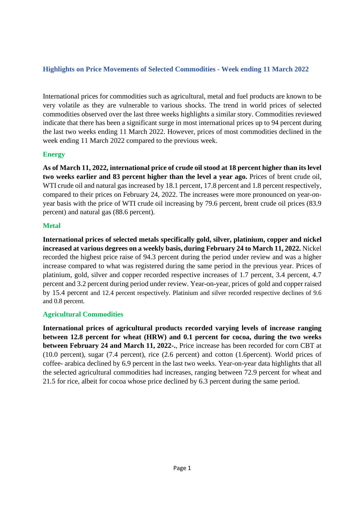### **Highlights on Price Movements of Selected Commodities - Week ending 11 March 2022**

International prices for commodities such as agricultural, metal and fuel products are known to be very volatile as they are vulnerable to various shocks. The trend in world prices of selected commodities observed over the last three weeks highlights a similar story. Commodities reviewed indicate that there has been a significant surge in most international prices up to 94 percent during the last two weeks ending 11 March 2022. However, prices of most commodities declined in the week ending 11 March 2022 compared to the previous week.

#### **Energy**

**As of March 11, 2022, international price of crude oil stood at 18 percent higher than its level two weeks earlier and 83 percent higher than the level a year ago.** Prices of brent crude oil, WTI crude oil and natural gas increased by 18.1 percent, 17.8 percent and 1.8 percent respectively, compared to their prices on February 24, 2022. The increases were more pronounced on year-onyear basis with the price of WTI crude oil increasing by 79.6 percent, brent crude oil prices (83.9 percent) and natural gas (88.6 percent).

#### **Metal**

**International prices of selected metals specifically gold, silver, platinium, copper and nickel increased at various degrees on a weekly basis, during February 24 to March 11, 2022.** Nickel recorded the highest price raise of 94.3 percent during the period under review and was a higher increase compared to what was registered during the same period in the previous year. Prices of platinium, gold, silver and copper recorded respective increases of 1.7 percent, 3.4 percent, 4.7 percent and 3.2 percent during period under review. Year-on-year, prices of gold and copper raised by 15.4 percent and 12.4 percent respectively. Platinium and silver recorded respective declines of 9.6 and 0.8 percent.

#### **Agricultural Commodities**

**International prices of agricultural products recorded varying levels of increase ranging between 12.8 percent for wheat (HRW) and 0.1 percent for cocoa, during the two weeks between February 24 and March 11, 2022-.**, Price increase has been recorded for corn CBT at (10.0 percent), sugar (7.4 percent), rice (2.6 percent) and cotton (1.6percent). World prices of coffee- arabica declined by 6.9 percent in the last two weeks. Year-on-year data highlights that all the selected agricultural commodities had increases, ranging between 72.9 percent for wheat and 21.5 for rice, albeit for cocoa whose price declined by 6.3 percent during the same period.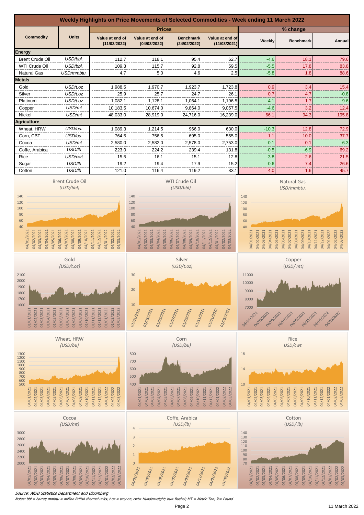

Notes: bbl = barrel; mmbtu = million British thermal units; t.oz = troy oz; cwt= Hunderweight; bu= Bushel; MT = Metric Ton; lb= Pound